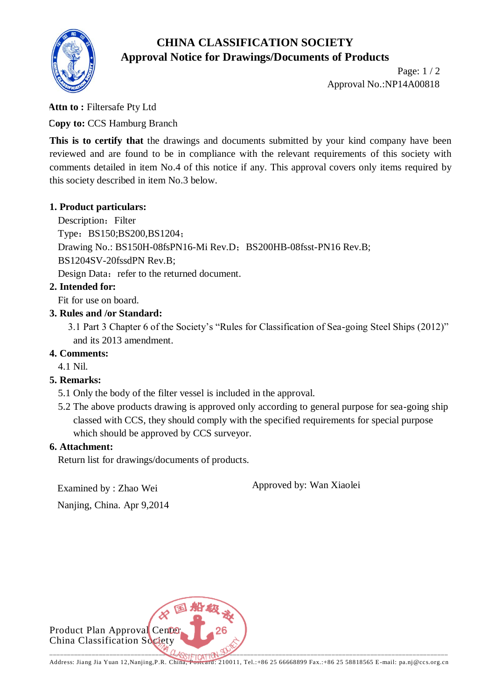# **CHINA CLASSIFICATION SOCIETY Approval Notice for Drawings/Documents of Products**



Page: 1 / 2 Approval No.:NP14A00818

**Attn to :** Filtersafe Pty Ltd

**Copy to:** CCS Hamburg Branch

This is to certify that the drawings and documents submitted by your kind company have been reviewed and are found to be in compliance with the relevant requirements of this society with comments detailed in item No.4 of this notice if any. This approval covers only items required by this society described in item No.3 below.

### **1. Product particulars:**

Description: Filter

Type: BS150;BS200,BS1204;

Drawing No.: BS150H-08fsPN16-Mi Rev.D; BS200HB-08fsst-PN16 Rev.B;

BS1204SV-20fssdPN Rev.B;

Design Data: refer to the returned document.

## **2. Intended for:**

Fit for use on board.

## **3. Rules and /or Standard:**

 3.1 Part 3 Chapter 6 of the Society's "Rules for Classification of Sea-going Steel Ships (2012)" and its 2013 amendment.

## **4. Comments:**

4.1 Nil.

## **5. Remarks:**

- 5.1 Only the body of the filter vessel is included in the approval.
- 5.2 The above products drawing is approved only according to general purpose for sea-going ship classed with CCS, they should comply with the specified requirements for special purpose which should be approved by CCS surveyor.

### **6. Attachment:**

Return list for drawings/documents of products.

Examined by : Zhao Wei

Approved by: Wan Xiaolei

Nanjing, China. Apr 9,2014

Product Plan Approval Center China Classification Society  $\mathcal{A}_{\alpha_{1},\ldots,\alpha_{k}}$  ,  $\mathcal{A}_{\alpha_{2},\ldots,\alpha_{k}}$  ,  $\mathcal{A}_{\alpha_{k},\ldots,\alpha_{k}}$  ,  $\mathcal{A}_{\alpha_{k},\ldots,\alpha_{k}}$  ,  $\mathcal{A}_{\alpha_{k},\ldots,\alpha_{k}}$  ,  $\mathcal{A}_{\alpha_{k},\ldots,\alpha_{k}}$  ,  $\mathcal{A}_{\alpha_{k},\ldots,\alpha_{k}}$  ,  $\mathcal{A}_{\alpha_{k},\ldots,\alpha_{k}}$  ,  $\mathcal{A}_{\alpha_{k},\ldots,\alpha_{k}}$  ,  $\mathcal{$